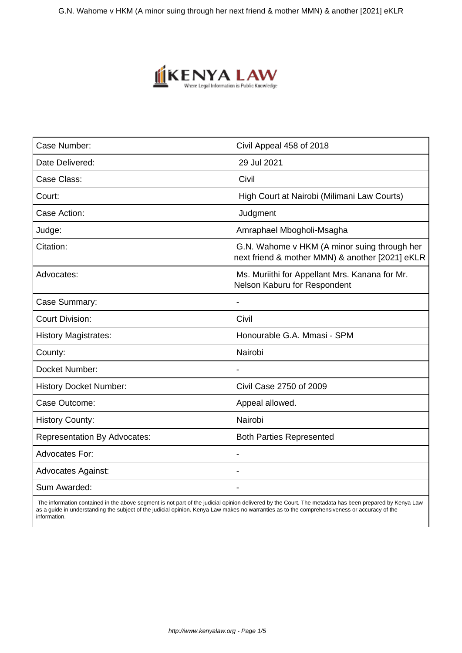

| Civil Appeal 458 of 2018                                                                        |
|-------------------------------------------------------------------------------------------------|
| 29 Jul 2021                                                                                     |
| Civil                                                                                           |
| High Court at Nairobi (Milimani Law Courts)                                                     |
| Judgment                                                                                        |
| Amraphael Mbogholi-Msagha                                                                       |
| G.N. Wahome v HKM (A minor suing through her<br>next friend & mother MMN) & another [2021] eKLR |
| Ms. Muriithi for Appellant Mrs. Kanana for Mr.<br>Nelson Kaburu for Respondent                  |
| $\overline{\phantom{a}}$                                                                        |
| Civil                                                                                           |
| Honourable G.A. Mmasi - SPM                                                                     |
| Nairobi                                                                                         |
| $\overline{\phantom{a}}$                                                                        |
| Civil Case 2750 of 2009                                                                         |
| Appeal allowed.                                                                                 |
| Nairobi                                                                                         |
| <b>Both Parties Represented</b>                                                                 |
|                                                                                                 |
|                                                                                                 |
| $\blacksquare$                                                                                  |
|                                                                                                 |

 The information contained in the above segment is not part of the judicial opinion delivered by the Court. The metadata has been prepared by Kenya Law as a guide in understanding the subject of the judicial opinion. Kenya Law makes no warranties as to the comprehensiveness or accuracy of the information.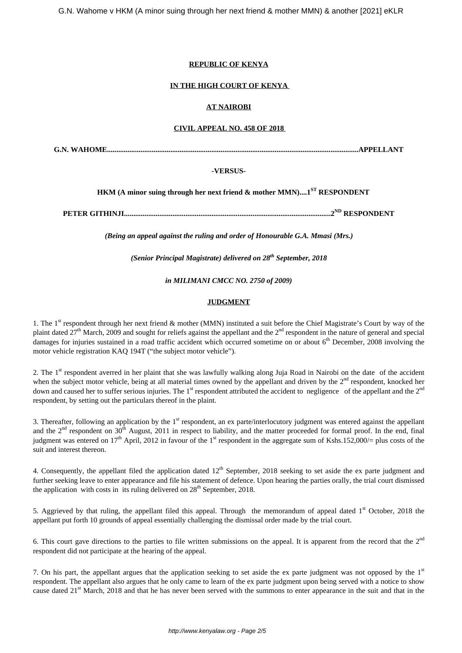# **REPUBLIC OF KENYA**

# **IN THE HIGH COURT OF KENYA**

# **AT NAIROBI**

#### **CIVIL APPEAL NO. 458 OF 2018**

**G.N. WAHOME.......................................................................................................................................APPELLANT**

# **-VERSUS-**

 **HKM (A minor suing through her next friend & mother MMN)....1ST RESPONDENT**

**PETER GITHINJI...............................................................................................................2ND RESPONDENT**

*(Being an appeal against the ruling and order of Honourable G.A. Mmasi (Mrs.)*

*(Senior Principal Magistrate) delivered on 28th September, 2018*

*in MILIMANI CMCC NO. 2750 of 2009)*

#### **JUDGMENT**

1. The 1<sup>st</sup> respondent through her next friend  $\&$  mother (MMN) instituted a suit before the Chief Magistrate's Court by way of the plaint dated  $27<sup>th</sup>$  March, 2009 and sought for reliefs against the appellant and the  $2<sup>nd</sup>$  respondent in the nature of general and special damages for injuries sustained in a road traffic accident which occurred sometime on or about  $6<sup>th</sup>$  December, 2008 involving the motor vehicle registration KAQ 194T ("the subject motor vehicle").

2. The 1<sup>st</sup> respondent averred in her plaint that she was lawfully walking along Juja Road in Nairobi on the date of the accident when the subject motor vehicle, being at all material times owned by the appellant and driven by the  $2<sup>nd</sup>$  respondent, knocked her down and caused her to suffer serious injuries. The 1<sup>st</sup> respondent attributed the accident to negligence of the appellant and the 2<sup>nd</sup> respondent, by setting out the particulars thereof in the plaint.

3. Thereafter, following an application by the  $1<sup>st</sup>$  respondent, an ex parte/interlocutory judgment was entered against the appellant and the  $2<sup>nd</sup>$  respondent on  $30<sup>th</sup>$  August, 2011 in respect to liability, and the matter proceeded for formal proof. In the end, final judgment was entered on  $17<sup>th</sup>$  April, 2012 in favour of the 1<sup>st</sup> respondent in the aggregate sum of Kshs.152,000/= plus costs of the suit and interest thereon.

4. Consequently, the appellant filed the application dated  $12<sup>th</sup>$  September, 2018 seeking to set aside the ex parte judgment and further seeking leave to enter appearance and file his statement of defence. Upon hearing the parties orally, the trial court dismissed the application with costs in its ruling delivered on  $28<sup>th</sup>$  September, 2018.

5. Aggrieved by that ruling, the appellant filed this appeal. Through the memorandum of appeal dated  $1<sup>st</sup>$  October, 2018 the appellant put forth 10 grounds of appeal essentially challenging the dismissal order made by the trial court.

6. This court gave directions to the parties to file written submissions on the appeal. It is apparent from the record that the  $2<sup>nd</sup>$ respondent did not participate at the hearing of the appeal.

7. On his part, the appellant argues that the application seeking to set aside the ex parte judgment was not opposed by the  $1<sup>st</sup>$ respondent. The appellant also argues that he only came to learn of the ex parte judgment upon being served with a notice to show cause dated  $21<sup>st</sup>$  March, 2018 and that he has never been served with the summons to enter appearance in the suit and that in the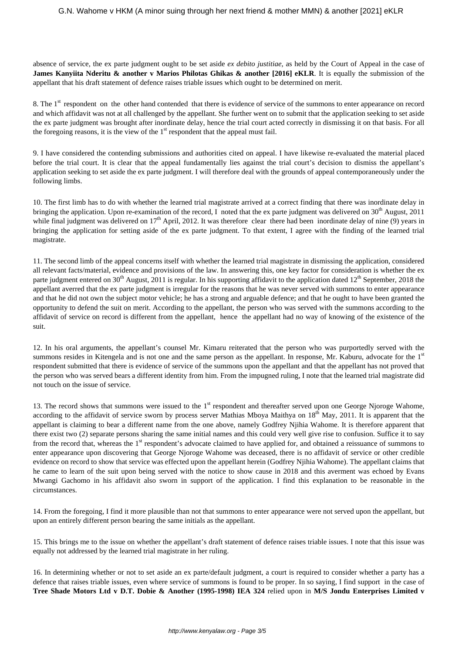absence of service, the ex parte judgment ought to be set aside *ex debito justitiae*, as held by the Court of Appeal in the case of **James Kanyiita Nderitu & another v Marios Philotas Ghikas & another [2016] eKLR**. It is equally the submission of the appellant that his draft statement of defence raises triable issues which ought to be determined on merit.

8. The 1<sup>st</sup> respondent on the other hand contended that there is evidence of service of the summons to enter appearance on record and which affidavit was not at all challenged by the appellant. She further went on to submit that the application seeking to set aside the ex parte judgment was brought after inordinate delay, hence the trial court acted correctly in dismissing it on that basis. For all the foregoing reasons, it is the view of the  $1<sup>st</sup>$  respondent that the appeal must fail.

9. I have considered the contending submissions and authorities cited on appeal. I have likewise re-evaluated the material placed before the trial court. It is clear that the appeal fundamentally lies against the trial court's decision to dismiss the appellant's application seeking to set aside the ex parte judgment. I will therefore deal with the grounds of appeal contemporaneously under the following limbs.

10. The first limb has to do with whether the learned trial magistrate arrived at a correct finding that there was inordinate delay in bringing the application. Upon re-examination of the record, I noted that the ex parte judgment was delivered on  $30<sup>th</sup>$  August, 2011 while final judgment was delivered on  $17<sup>th</sup>$  April, 2012. It was therefore clear there had been inordinate delay of nine (9) years in bringing the application for setting aside of the ex parte judgment. To that extent, I agree with the finding of the learned trial magistrate.

11. The second limb of the appeal concerns itself with whether the learned trial magistrate in dismissing the application, considered all relevant facts/material, evidence and provisions of the law. In answering this, one key factor for consideration is whether the ex parte judgment entered on 30<sup>th</sup> August, 2011 is regular. In his supporting affidavit to the application dated  $12^{th}$  September, 2018 the appellant averred that the ex parte judgment is irregular for the reasons that he was never served with summons to enter appearance and that he did not own the subject motor vehicle; he has a strong and arguable defence; and that he ought to have been granted the opportunity to defend the suit on merit. According to the appellant, the person who was served with the summons according to the affidavit of service on record is different from the appellant, hence the appellant had no way of knowing of the existence of the suit.

12. In his oral arguments, the appellant's counsel Mr. Kimaru reiterated that the person who was purportedly served with the summons resides in Kitengela and is not one and the same person as the appellant. In response, Mr. Kaburu, advocate for the 1<sup>st</sup> respondent submitted that there is evidence of service of the summons upon the appellant and that the appellant has not proved that the person who was served bears a different identity from him. From the impugned ruling, I note that the learned trial magistrate did not touch on the issue of service.

13. The record shows that summons were issued to the 1<sup>st</sup> respondent and thereafter served upon one George Njoroge Wahome, according to the affidavit of service sworn by process server Mathias Mboya Maithya on  $18<sup>th</sup>$  May, 2011. It is apparent that the appellant is claiming to bear a different name from the one above, namely Godfrey Njihia Wahome. It is therefore apparent that there exist two (2) separate persons sharing the same initial names and this could very well give rise to confusion. Suffice it to say from the record that, whereas the 1<sup>st</sup> respondent's advocate claimed to have applied for, and obtained a reissuance of summons to enter appearance upon discovering that George Njoroge Wahome was deceased, there is no affidavit of service or other credible evidence on record to show that service was effected upon the appellant herein (Godfrey Njihia Wahome). The appellant claims that he came to learn of the suit upon being served with the notice to show cause in 2018 and this averment was echoed by Evans Mwangi Gachomo in his affidavit also sworn in support of the application. I find this explanation to be reasonable in the circumstances.

14. From the foregoing, I find it more plausible than not that summons to enter appearance were not served upon the appellant, but upon an entirely different person bearing the same initials as the appellant.

15. This brings me to the issue on whether the appellant's draft statement of defence raises triable issues. I note that this issue was equally not addressed by the learned trial magistrate in her ruling.

16. In determining whether or not to set aside an ex parte/default judgment, a court is required to consider whether a party has a defence that raises triable issues, even where service of summons is found to be proper. In so saying, I find support in the case of **Tree Shade Motors Ltd v D.T. Dobie & Another (1995-1998) IEA 324** relied upon in **M/S Jondu Enterprises Limited v**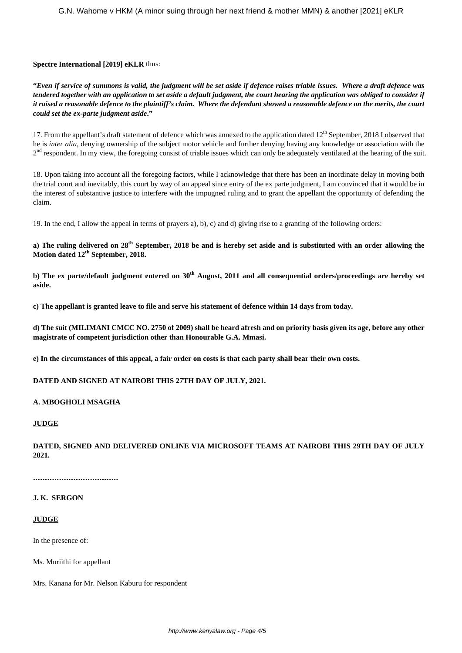# **Spectre International [2019] eKLR** thus:

**"***Even if service of summons is valid, the judgment will be set aside if defence raises triable issues. Where a draft defence was tendered together with an application to set aside a default judgment, the court hearing the application was obliged to consider if it raised a reasonable defence to the plaintiff's claim. Where the defendant showed a reasonable defence on the merits, the court could set the ex-parte judgment aside***."**

17. From the appellant's draft statement of defence which was annexed to the application dated  $12<sup>th</sup>$  September, 2018 I observed that he is *inter alia*, denying ownership of the subject motor vehicle and further denying having any knowledge or association with the 2<sup>nd</sup> respondent. In my view, the foregoing consist of triable issues which can only be adequately ventilated at the hearing of the suit.

18. Upon taking into account all the foregoing factors, while I acknowledge that there has been an inordinate delay in moving both the trial court and inevitably, this court by way of an appeal since entry of the ex parte judgment, I am convinced that it would be in the interest of substantive justice to interfere with the impugned ruling and to grant the appellant the opportunity of defending the claim.

19. In the end, I allow the appeal in terms of prayers a), b), c) and d) giving rise to a granting of the following orders:

**a) The ruling delivered on 28th September, 2018 be and is hereby set aside and is substituted with an order allowing the Motion dated 12th September, 2018.**

**b) The ex parte/default judgment entered on 30th August, 2011 and all consequential orders/proceedings are hereby set aside.** 

**c) The appellant is granted leave to file and serve his statement of defence within 14 days from today.**

**d) The suit (MILIMANI CMCC NO. 2750 of 2009) shall be heard afresh and on priority basis given its age, before any other magistrate of competent jurisdiction other than Honourable G.A. Mmasi.** 

**e) In the circumstances of this appeal, a fair order on costs is that each party shall bear their own costs.** 

**DATED AND SIGNED AT NAIROBI THIS 27TH DAY OF JULY, 2021.**

#### **A. MBOGHOLI MSAGHA**

#### **JUDGE**

**DATED, SIGNED AND DELIVERED ONLINE VIA MICROSOFT TEAMS AT NAIROBI THIS 29TH DAY OF JULY 2021.**

**....................................**

### **J. K. SERGON**

#### **JUDGE**

In the presence of:

Ms. Muriithi for appellant

Mrs. Kanana for Mr. Nelson Kaburu for respondent